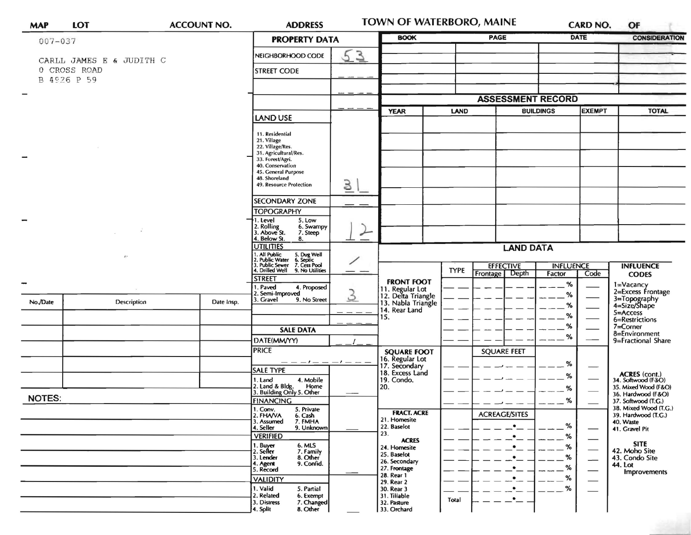| <b>MAP</b>               | LOT                         |             | <b>ACCOUNT NO.</b> | <b>ADDRESS</b>                                                                                                                             | <b>TOWN OF WATERBORO, MAINE</b> |                                                                              |                  | CARD NO.                           |                            | OF                                          |                                                                             |
|--------------------------|-----------------------------|-------------|--------------------|--------------------------------------------------------------------------------------------------------------------------------------------|---------------------------------|------------------------------------------------------------------------------|------------------|------------------------------------|----------------------------|---------------------------------------------|-----------------------------------------------------------------------------|
| $007 - 037$              |                             |             |                    | <b>PROPERTY DATA</b>                                                                                                                       |                                 | <b>BOOK</b>                                                                  |                  | <b>PAGE</b>                        |                            | <b>DATE</b>                                 | <b>CONSIDERATION</b>                                                        |
|                          | CARLL JAMES E & JUDITH C    |             |                    | NEIGHBORHOOD CODE                                                                                                                          | 53                              |                                                                              |                  |                                    |                            |                                             |                                                                             |
|                          | 0 CROSS ROAD<br>B 4926 P 59 |             |                    | <b>STREET CODE</b>                                                                                                                         |                                 |                                                                              |                  |                                    |                            |                                             |                                                                             |
|                          |                             |             |                    |                                                                                                                                            |                                 |                                                                              |                  |                                    |                            |                                             |                                                                             |
| $\overline{\phantom{0}}$ |                             |             |                    |                                                                                                                                            |                                 | <b>ASSESSMENT RECORD</b>                                                     |                  |                                    |                            |                                             |                                                                             |
|                          |                             |             | LAND USE           |                                                                                                                                            | <b>YEAR</b>                     | <b>LAND</b>                                                                  | <b>BUILDINGS</b> |                                    | <b>EXEMPT</b>              | <b>TOTAL</b>                                |                                                                             |
|                          |                             |             |                    | 11. Residential<br>21. Village<br>22. Village/Res.<br>31. Agricultural/Res.<br>33. Forest/Agri.<br>40. Conservation<br>45. General Purpose |                                 |                                                                              |                  |                                    |                            |                                             |                                                                             |
|                          |                             |             |                    | 48. Shoreland<br>49. Resource Protection                                                                                                   | 3                               |                                                                              |                  |                                    |                            |                                             |                                                                             |
|                          |                             |             |                    | <b>SECONDARY ZONE</b>                                                                                                                      |                                 |                                                                              |                  |                                    |                            |                                             |                                                                             |
|                          |                             |             |                    | <b>TOPOGRAPHY</b>                                                                                                                          |                                 |                                                                              |                  |                                    |                            |                                             |                                                                             |
| -                        |                             |             |                    | 5. Low<br>. Level<br>. Rolling<br>. Above St.<br>6. Swampy<br>7. Steep<br>. Below St.<br>8.                                                | $\overline{\phantom{0}}$        |                                                                              |                  |                                    |                            |                                             |                                                                             |
|                          |                             |             |                    | <b>UTILITIES</b>                                                                                                                           |                                 | <b>LAND DATA</b>                                                             |                  |                                    |                            |                                             |                                                                             |
|                          | $\lambda$                   |             |                    | 1. All Public<br>2. Public Water<br>3. Public Sewer<br>4. Drilled Well<br>5. Dug Well<br>6. Septic<br>7. Cess Pool<br>9. No Utilities      |                                 |                                                                              | <b>TYPE</b>      | <b>EFFECTIVE</b><br>Frontage Depth | <b>INFLUENCE</b><br>Factor | Code                                        | <b>INFLUENCE</b>                                                            |
|                          |                             |             |                    | <b>STREET</b>                                                                                                                              |                                 | <b>FRONT FOOT</b>                                                            |                  |                                    | %                          |                                             | <b>CODES</b>                                                                |
| No./Date                 |                             | Description | Date Insp.         | 1. Paved<br>4. Proposed<br>2. Semi-Improved<br>3. Gravel<br>9. No Street                                                                   | $\mathcal{S}_{0}$               | 11. Regular Lot<br>12. Delta Triangle<br>13. Nabla Triangle<br>14. Rear Land |                  |                                    | %<br>%                     |                                             | 1=Vacancy<br>2=Excess Frontage<br>3=Topography<br>4=Size/Shape<br>5=Access  |
|                          |                             |             |                    |                                                                                                                                            |                                 | 15.                                                                          |                  |                                    | %                          |                                             | 6=Restrictions                                                              |
|                          |                             |             |                    | <b>SALE DATA</b>                                                                                                                           |                                 |                                                                              |                  |                                    | %<br>%                     |                                             | $7 =$ Corner<br>8=Environment                                               |
|                          |                             |             |                    | DATE(MM/YY)                                                                                                                                |                                 |                                                                              |                  |                                    |                            |                                             | 9=Fractional Share                                                          |
|                          |                             |             |                    | <b>PRICE</b>                                                                                                                               |                                 | <b>SQUARE FOOT</b><br>16. Regular Lot<br>17. Secondary                       |                  | <b>SQUARE FEET</b>                 | %                          |                                             |                                                                             |
|                          |                             |             |                    | <b>SALE TYPE</b><br>1. Land<br>4. Mobile                                                                                                   |                                 | 18. Excess Land<br>19. Condo.                                                |                  |                                    | %                          |                                             | <b>ACRES</b> (cont.)<br>34. Softwood (F&O)                                  |
|                          |                             |             |                    | 2. Land & Bldg. Home<br>3. Building Only 5. Other<br>Home                                                                                  |                                 | 20.                                                                          |                  |                                    | %                          |                                             | 35. Mixed Wood (F&O)                                                        |
| <b>NOTES:</b>            |                             |             |                    | <b>FINANCING</b>                                                                                                                           |                                 |                                                                              |                  |                                    | %                          |                                             | 36. Hardwood (F&O)<br>37. Softwood (T.G.)                                   |
|                          |                             |             |                    | 1. Conv.<br>5. Private<br>2. FHAVA<br>6. Cash<br>3. Assumed<br>7. FMHA<br>4. Seller<br>9. Unknown                                          |                                 | <b>FRACT. ACRE</b><br>21. Homesite<br>22. Baselot                            |                  | <b>ACREAGE/SITES</b><br>$\bullet$  | %                          |                                             | 38. Mixed Wood (T.G.)<br>39. Hardwood (T.G.)<br>40. Waste<br>41. Gravel Pit |
|                          |                             |             |                    | <b>VERIFIED</b>                                                                                                                            |                                 | 23.<br><b>ACRES</b><br>24. Homesite                                          |                  | $\bullet$<br>$\bullet$             | %<br>%                     |                                             | <b>SITE</b>                                                                 |
|                          |                             |             |                    | 1. Buyer<br>2. Seller<br>6. MLS<br>7. Family<br>8. Other<br>3. Lender<br>4. Agent<br>5. Record<br>9. Confid.                               |                                 | 25. Baselot<br>26. Secondary                                                 |                  | $\bullet$                          | %                          | $\qquad \qquad$<br>$\overline{\phantom{0}}$ | 42. Moho Site<br>43. Condo Site<br>44. Lot                                  |
|                          |                             |             |                    |                                                                                                                                            |                                 | 27. Frontage<br>28. Rear 1                                                   |                  | $\bullet$<br>$\bullet$             | %<br>%                     |                                             | <b>Improvements</b>                                                         |
|                          |                             |             |                    | <b>VALIDITY</b><br>1. Valid<br>5. Partial                                                                                                  |                                 | 29. Rear 2<br>30. Rear 3                                                     |                  | $\bullet$                          | %                          |                                             |                                                                             |
|                          |                             |             |                    | 2. Related<br>6. Exempt<br>3. Distress<br>7. Changed<br>4. Split<br>8. Other                                                               |                                 | 31. Tillable<br>32. Pasture<br>33. Orchard                                   | Total            | $\cdot$ $-$                        |                            |                                             |                                                                             |